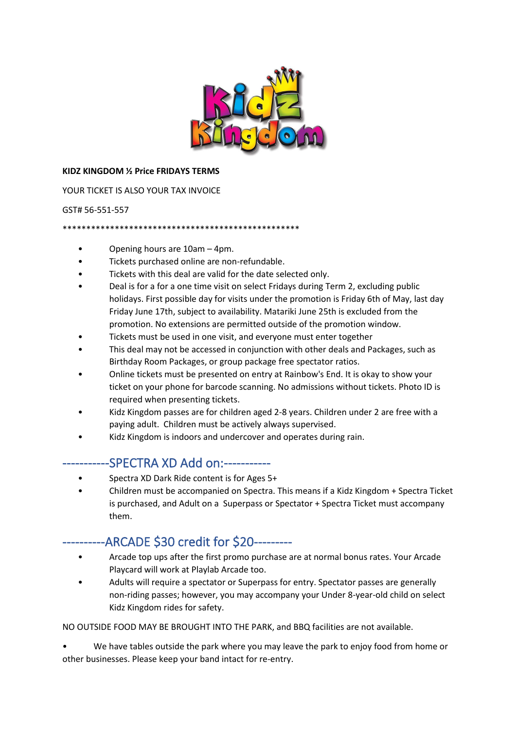

#### **KIDZ KINGDOM ½ Price FRIDAYS TERMS**

YOUR TICKET IS ALSO YOUR TAX INVOICE

#### GST# 56-551-557

\*\*\*\*\*\*\*\*\*\*\*\*\*\*\*\*\*\*\*\*\*\*\*\*\*\*\*\*\*\*\*\*\*\*\*\*\*\*\*\*\*\*\*\*\*\*\*\*\*\*

- Opening hours are 10am 4pm.
- Tickets purchased online are non-refundable.
- Tickets with this deal are valid for the date selected only.
- Deal is for a for a one time visit on select Fridays during Term 2, excluding public holidays. First possible day for visits under the promotion is Friday 6th of May, last day Friday June 17th, subject to availability. Matariki June 25th is excluded from the promotion. No extensions are permitted outside of the promotion window.
- Tickets must be used in one visit, and everyone must enter together
- This deal may not be accessed in conjunction with other deals and Packages, such as Birthday Room Packages, or group package free spectator ratios.
- Online tickets must be presented on entry at Rainbow's End. It is okay to show your ticket on your phone for barcode scanning. No admissions without tickets. Photo ID is required when presenting tickets.
- Kidz Kingdom passes are for children aged 2-8 years. Children under 2 are free with a paying adult. Children must be actively always supervised.
- Kidz Kingdom is indoors and undercover and operates during rain.

### -----------SPECTRA XD Add on:-----------

- Spectra XD Dark Ride content is for Ages 5+
- Children must be accompanied on Spectra. This means if a Kidz Kingdom + Spectra Ticket is purchased, and Adult on a Superpass or Spectator + Spectra Ticket must accompany them.

# -ARCADE \$30 credit for \$20---------

- Arcade top ups after the first promo purchase are at normal bonus rates. Your Arcade Playcard will work at Playlab Arcade too.
- Adults will require a spectator or Superpass for entry. Spectator passes are generally non-riding passes; however, you may accompany your Under 8-year-old child on select Kidz Kingdom rides for safety.

NO OUTSIDE FOOD MAY BE BROUGHT INTO THE PARK, and BBQ facilities are not available.

We have tables outside the park where you may leave the park to enjoy food from home or other businesses. Please keep your band intact for re-entry.